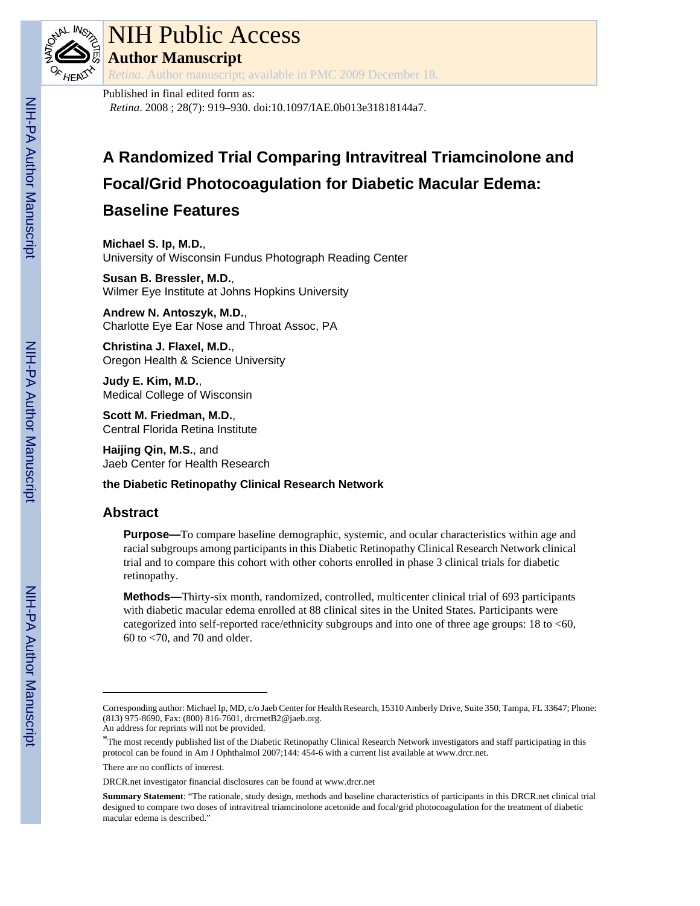

# NIH Public Access

**Author Manuscript**

*Retina*. Author manuscript; available in PMC 2009 December 18.

# Published in final edited form as:

*Retina*. 2008 ; 28(7): 919–930. doi:10.1097/IAE.0b013e31818144a7.

# **A Randomized Trial Comparing Intravitreal Triamcinolone and Focal/Grid Photocoagulation for Diabetic Macular Edema:**

# **Baseline Features**

**Michael S. Ip, M.D.**, University of Wisconsin Fundus Photograph Reading Center

**Susan B. Bressler, M.D.**, Wilmer Eye Institute at Johns Hopkins University

**Andrew N. Antoszyk, M.D.**, Charlotte Eye Ear Nose and Throat Assoc, PA

**Christina J. Flaxel, M.D.**, Oregon Health & Science University

**Judy E. Kim, M.D.**, Medical College of Wisconsin

**Scott M. Friedman, M.D.**, Central Florida Retina Institute

**Haijing Qin, M.S.**, and Jaeb Center for Health Research

# **the Diabetic Retinopathy Clinical Research Network**

# **Abstract**

**Purpose—**To compare baseline demographic, systemic, and ocular characteristics within age and racial subgroups among participants in this Diabetic Retinopathy Clinical Research Network clinical trial and to compare this cohort with other cohorts enrolled in phase 3 clinical trials for diabetic retinopathy.

**Methods—**Thirty-six month, randomized, controlled, multicenter clinical trial of 693 participants with diabetic macular edema enrolled at 88 clinical sites in the United States. Participants were categorized into self-reported race/ethnicity subgroups and into one of three age groups: 18 to <60, 60 to <70, and 70 and older.

Corresponding author: Michael Ip, MD, c/o Jaeb Center for Health Research, 15310 Amberly Drive, Suite 350, Tampa, FL 33647; Phone: (813) 975-8690, Fax: (800) 816-7601, drcrnetB2@jaeb.org.

An address for reprints will not be provided.

<sup>\*</sup>The most recently published list of the Diabetic Retinopathy Clinical Research Network investigators and staff participating in this protocol can be found in Am J Ophthalmol 2007;144: 454-6 with a current list available at [www.drcr.net](http://www.drcr.net).

There are no conflicts of interest.

DRCR.net investigator financial disclosures can be found at [www.drcr.net](http://www.drcr.net)

**Summary Statement**: "The rationale, study design, methods and baseline characteristics of participants in this DRCR.net clinical trial designed to compare two doses of intravitreal triamcinolone acetonide and focal/grid photocoagulation for the treatment of diabetic macular edema is described."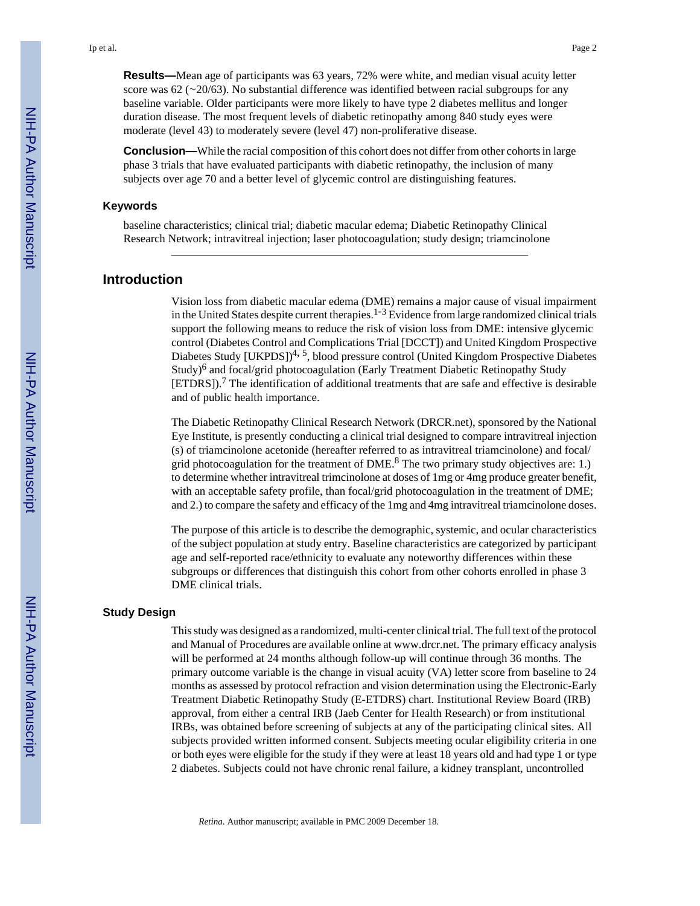**Results—**Mean age of participants was 63 years, 72% were white, and median visual acuity letter score was 62 (∼20/63). No substantial difference was identified between racial subgroups for any baseline variable. Older participants were more likely to have type 2 diabetes mellitus and longer duration disease. The most frequent levels of diabetic retinopathy among 840 study eyes were moderate (level 43) to moderately severe (level 47) non-proliferative disease.

**Conclusion—**While the racial composition of this cohort does not differ from other cohorts in large phase 3 trials that have evaluated participants with diabetic retinopathy, the inclusion of many subjects over age 70 and a better level of glycemic control are distinguishing features.

#### **Keywords**

baseline characteristics; clinical trial; diabetic macular edema; Diabetic Retinopathy Clinical Research Network; intravitreal injection; laser photocoagulation; study design; triamcinolone

### **Introduction**

Vision loss from diabetic macular edema (DME) remains a major cause of visual impairment in the United States despite current therapies.<sup>1-3</sup> Evidence from large randomized clinical trials support the following means to reduce the risk of vision loss from DME: intensive glycemic control (Diabetes Control and Complications Trial [DCCT]) and United Kingdom Prospective Diabetes Study [UKPDS])<sup>4, 5</sup>, blood pressure control (United Kingdom Prospective Diabetes Study)<sup>6</sup> and focal/grid photocoagulation (Early Treatment Diabetic Retinopathy Study [ETDRS]).<sup>7</sup> The identification of additional treatments that are safe and effective is desirable and of public health importance.

The Diabetic Retinopathy Clinical Research Network (DRCR.net), sponsored by the National Eye Institute, is presently conducting a clinical trial designed to compare intravitreal injection (s) of triamcinolone acetonide (hereafter referred to as intravitreal triamcinolone) and focal/ grid photocoagulation for the treatment of  $\text{DME.}^8$  The two primary study objectives are: 1.) to determine whether intravitreal trimcinolone at doses of 1mg or 4mg produce greater benefit, with an acceptable safety profile, than focal/grid photocoagulation in the treatment of DME; and 2.) to compare the safety and efficacy of the 1mg and 4mg intravitreal triamcinolone doses.

The purpose of this article is to describe the demographic, systemic, and ocular characteristics of the subject population at study entry. Baseline characteristics are categorized by participant age and self-reported race/ethnicity to evaluate any noteworthy differences within these subgroups or differences that distinguish this cohort from other cohorts enrolled in phase 3 DME clinical trials.

#### **Study Design**

This study was designed as a randomized, multi-center clinical trial. The full text of the protocol and Manual of Procedures are available online at [www.drcr.net.](http://www.drcr.net) The primary efficacy analysis will be performed at 24 months although follow-up will continue through 36 months. The primary outcome variable is the change in visual acuity (VA) letter score from baseline to 24 months as assessed by protocol refraction and vision determination using the Electronic-Early Treatment Diabetic Retinopathy Study (E-ETDRS) chart. Institutional Review Board (IRB) approval, from either a central IRB (Jaeb Center for Health Research) or from institutional IRBs, was obtained before screening of subjects at any of the participating clinical sites. All subjects provided written informed consent. Subjects meeting ocular eligibility criteria in one or both eyes were eligible for the study if they were at least 18 years old and had type 1 or type 2 diabetes. Subjects could not have chronic renal failure, a kidney transplant, uncontrolled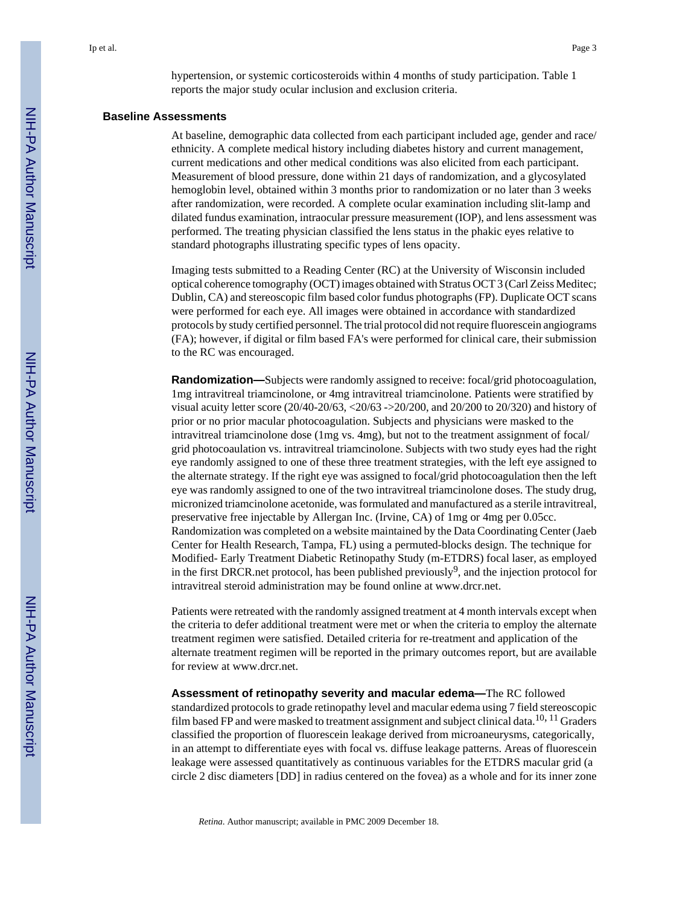hypertension, or systemic corticosteroids within 4 months of study participation. Table 1 reports the major study ocular inclusion and exclusion criteria.

#### **Baseline Assessments**

At baseline, demographic data collected from each participant included age, gender and race/ ethnicity. A complete medical history including diabetes history and current management, current medications and other medical conditions was also elicited from each participant. Measurement of blood pressure, done within 21 days of randomization, and a glycosylated hemoglobin level, obtained within 3 months prior to randomization or no later than 3 weeks after randomization, were recorded. A complete ocular examination including slit-lamp and dilated fundus examination, intraocular pressure measurement (IOP), and lens assessment was performed. The treating physician classified the lens status in the phakic eyes relative to standard photographs illustrating specific types of lens opacity.

Imaging tests submitted to a Reading Center (RC) at the University of Wisconsin included optical coherence tomography (OCT) images obtained with Stratus OCT 3 (Carl Zeiss Meditec; Dublin, CA) and stereoscopic film based color fundus photographs (FP). Duplicate OCT scans were performed for each eye. All images were obtained in accordance with standardized protocols by study certified personnel. The trial protocol did not require fluorescein angiograms (FA); however, if digital or film based FA's were performed for clinical care, their submission to the RC was encouraged.

**Randomization—**Subjects were randomly assigned to receive: focal/grid photocoagulation, 1mg intravitreal triamcinolone, or 4mg intravitreal triamcinolone. Patients were stratified by visual acuity letter score  $(20/40-20/63, < 20/63 \rightarrow >20/200$ , and  $20/200$  to  $20/320$ ) and history of prior or no prior macular photocoagulation. Subjects and physicians were masked to the intravitreal triamcinolone dose (1mg vs. 4mg), but not to the treatment assignment of focal/ grid photocoaulation vs. intravitreal triamcinolone. Subjects with two study eyes had the right eye randomly assigned to one of these three treatment strategies, with the left eye assigned to the alternate strategy. If the right eye was assigned to focal/grid photocoagulation then the left eye was randomly assigned to one of the two intravitreal triamcinolone doses. The study drug, micronized triamcinolone acetonide, was formulated and manufactured as a sterile intravitreal, preservative free injectable by Allergan Inc. (Irvine, CA) of 1mg or 4mg per 0.05cc. Randomization was completed on a website maintained by the Data Coordinating Center (Jaeb Center for Health Research, Tampa, FL) using a permuted-blocks design. The technique for Modified- Early Treatment Diabetic Retinopathy Study (m-ETDRS) focal laser, as employed in the first DRCR net protocol, has been published previously<sup>9</sup>, and the injection protocol for intravitreal steroid administration may be found online at [www.drcr.net](http://www.drcr.net).

Patients were retreated with the randomly assigned treatment at 4 month intervals except when the criteria to defer additional treatment were met or when the criteria to employ the alternate treatment regimen were satisfied. Detailed criteria for re-treatment and application of the alternate treatment regimen will be reported in the primary outcomes report, but are available for review at [www.drcr.net.](http://www.drcr.net)

**Assessment of retinopathy severity and macular edema—**The RC followed

standardized protocols to grade retinopathy level and macular edema using 7 field stereoscopic film based FP and were masked to treatment assignment and subject clinical data.10, 11 Graders classified the proportion of fluorescein leakage derived from microaneurysms, categorically, in an attempt to differentiate eyes with focal vs. diffuse leakage patterns. Areas of fluorescein leakage were assessed quantitatively as continuous variables for the ETDRS macular grid (a circle 2 disc diameters [DD] in radius centered on the fovea) as a whole and for its inner zone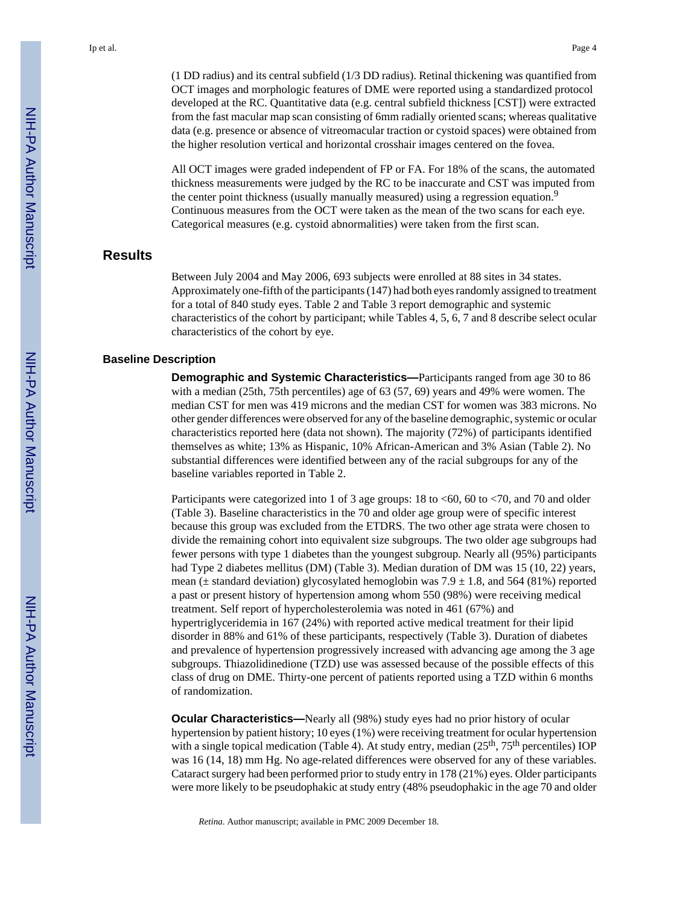(1 DD radius) and its central subfield (1/3 DD radius). Retinal thickening was quantified from OCT images and morphologic features of DME were reported using a standardized protocol developed at the RC. Quantitative data (e.g. central subfield thickness [CST]) were extracted from the fast macular map scan consisting of 6mm radially oriented scans; whereas qualitative data (e.g. presence or absence of vitreomacular traction or cystoid spaces) were obtained from the higher resolution vertical and horizontal crosshair images centered on the fovea.

All OCT images were graded independent of FP or FA. For 18% of the scans, the automated thickness measurements were judged by the RC to be inaccurate and CST was imputed from the center point thickness (usually manually measured) using a regression equation.<sup>9</sup> Continuous measures from the OCT were taken as the mean of the two scans for each eye. Categorical measures (e.g. cystoid abnormalities) were taken from the first scan.

#### **Results**

Between July 2004 and May 2006, 693 subjects were enrolled at 88 sites in 34 states. Approximately one-fifth of the participants (147) had both eyes randomly assigned to treatment for a total of 840 study eyes. Table 2 and Table 3 report demographic and systemic characteristics of the cohort by participant; while Tables 4, 5, 6, 7 and 8 describe select ocular characteristics of the cohort by eye.

#### **Baseline Description**

**Demographic and Systemic Characteristics—**Participants ranged from age 30 to 86 with a median (25th, 75th percentiles) age of 63 (57, 69) years and 49% were women. The median CST for men was 419 microns and the median CST for women was 383 microns. No other gender differences were observed for any of the baseline demographic, systemic or ocular characteristics reported here (data not shown). The majority (72%) of participants identified themselves as white; 13% as Hispanic, 10% African-American and 3% Asian (Table 2). No substantial differences were identified between any of the racial subgroups for any of the baseline variables reported in Table 2.

Participants were categorized into 1 of 3 age groups: 18 to <60, 60 to <70, and 70 and older (Table 3). Baseline characteristics in the 70 and older age group were of specific interest because this group was excluded from the ETDRS. The two other age strata were chosen to divide the remaining cohort into equivalent size subgroups. The two older age subgroups had fewer persons with type 1 diabetes than the youngest subgroup. Nearly all (95%) participants had Type 2 diabetes mellitus (DM) (Table 3). Median duration of DM was 15 (10, 22) years, mean ( $\pm$  standard deviation) glycosylated hemoglobin was 7.9  $\pm$  1.8, and 564 (81%) reported a past or present history of hypertension among whom 550 (98%) were receiving medical treatment. Self report of hypercholesterolemia was noted in 461 (67%) and hypertriglyceridemia in 167 (24%) with reported active medical treatment for their lipid disorder in 88% and 61% of these participants, respectively (Table 3). Duration of diabetes and prevalence of hypertension progressively increased with advancing age among the 3 age subgroups. Thiazolidinedione (TZD) use was assessed because of the possible effects of this class of drug on DME. Thirty-one percent of patients reported using a TZD within 6 months of randomization.

**Ocular Characteristics—**Nearly all (98%) study eyes had no prior history of ocular hypertension by patient history; 10 eyes (1%) were receiving treatment for ocular hypertension with a single topical medication (Table 4). At study entry, median  $(25<sup>th</sup>, 75<sup>th</sup>$  percentiles) IOP was 16 (14, 18) mm Hg. No age-related differences were observed for any of these variables. Cataract surgery had been performed prior to study entry in 178 (21%) eyes. Older participants were more likely to be pseudophakic at study entry (48% pseudophakic in the age 70 and older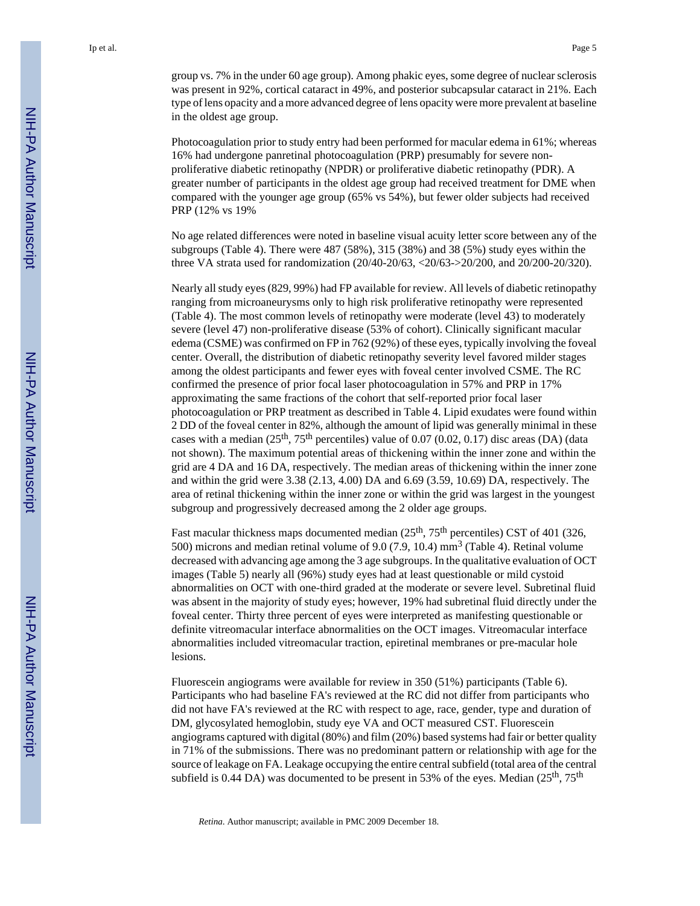group vs. 7% in the under 60 age group). Among phakic eyes, some degree of nuclear sclerosis was present in 92%, cortical cataract in 49%, and posterior subcapsular cataract in 21%. Each type of lens opacity and a more advanced degree of lens opacity were more prevalent at baseline in the oldest age group.

Photocoagulation prior to study entry had been performed for macular edema in 61%; whereas 16% had undergone panretinal photocoagulation (PRP) presumably for severe nonproliferative diabetic retinopathy (NPDR) or proliferative diabetic retinopathy (PDR). A greater number of participants in the oldest age group had received treatment for DME when compared with the younger age group (65% vs 54%), but fewer older subjects had received PRP (12% vs 19%

No age related differences were noted in baseline visual acuity letter score between any of the subgroups (Table 4). There were 487 (58%), 315 (38%) and 38 (5%) study eyes within the three VA strata used for randomization (20/40-20/63, <20/63->20/200, and 20/200-20/320).

Nearly all study eyes (829, 99%) had FP available for review. All levels of diabetic retinopathy ranging from microaneurysms only to high risk proliferative retinopathy were represented (Table 4). The most common levels of retinopathy were moderate (level 43) to moderately severe (level 47) non-proliferative disease (53% of cohort). Clinically significant macular edema (CSME) was confirmed on FP in 762 (92%) of these eyes, typically involving the foveal center. Overall, the distribution of diabetic retinopathy severity level favored milder stages among the oldest participants and fewer eyes with foveal center involved CSME. The RC confirmed the presence of prior focal laser photocoagulation in 57% and PRP in 17% approximating the same fractions of the cohort that self-reported prior focal laser photocoagulation or PRP treatment as described in Table 4. Lipid exudates were found within 2 DD of the foveal center in 82%, although the amount of lipid was generally minimal in these cases with a median  $(25<sup>th</sup>, 75<sup>th</sup>$  percentiles) value of 0.07 (0.02, 0.17) disc areas (DA) (data not shown). The maximum potential areas of thickening within the inner zone and within the grid are 4 DA and 16 DA, respectively. The median areas of thickening within the inner zone and within the grid were 3.38 (2.13, 4.00) DA and 6.69 (3.59, 10.69) DA, respectively. The area of retinal thickening within the inner zone or within the grid was largest in the youngest subgroup and progressively decreased among the 2 older age groups.

Fast macular thickness maps documented median  $(25<sup>th</sup>, 75<sup>th</sup>$  percentiles) CST of 401 (326, 500) microns and median retinal volume of 9.0 (7.9, 10.4)  $\text{mm}^3$  (Table 4). Retinal volume decreased with advancing age among the 3 age subgroups. In the qualitative evaluation of OCT images (Table 5) nearly all (96%) study eyes had at least questionable or mild cystoid abnormalities on OCT with one-third graded at the moderate or severe level. Subretinal fluid was absent in the majority of study eyes; however, 19% had subretinal fluid directly under the foveal center. Thirty three percent of eyes were interpreted as manifesting questionable or definite vitreomacular interface abnormalities on the OCT images. Vitreomacular interface abnormalities included vitreomacular traction, epiretinal membranes or pre-macular hole lesions.

Fluorescein angiograms were available for review in 350 (51%) participants (Table 6). Participants who had baseline FA's reviewed at the RC did not differ from participants who did not have FA's reviewed at the RC with respect to age, race, gender, type and duration of DM, glycosylated hemoglobin, study eye VA and OCT measured CST. Fluorescein angiograms captured with digital (80%) and film (20%) based systems had fair or better quality in 71% of the submissions. There was no predominant pattern or relationship with age for the source of leakage on FA. Leakage occupying the entire central subfield (total area of the central subfield is 0.44 DA) was documented to be present in 53% of the eyes. Median  $(25<sup>th</sup>, 75<sup>th</sup>)$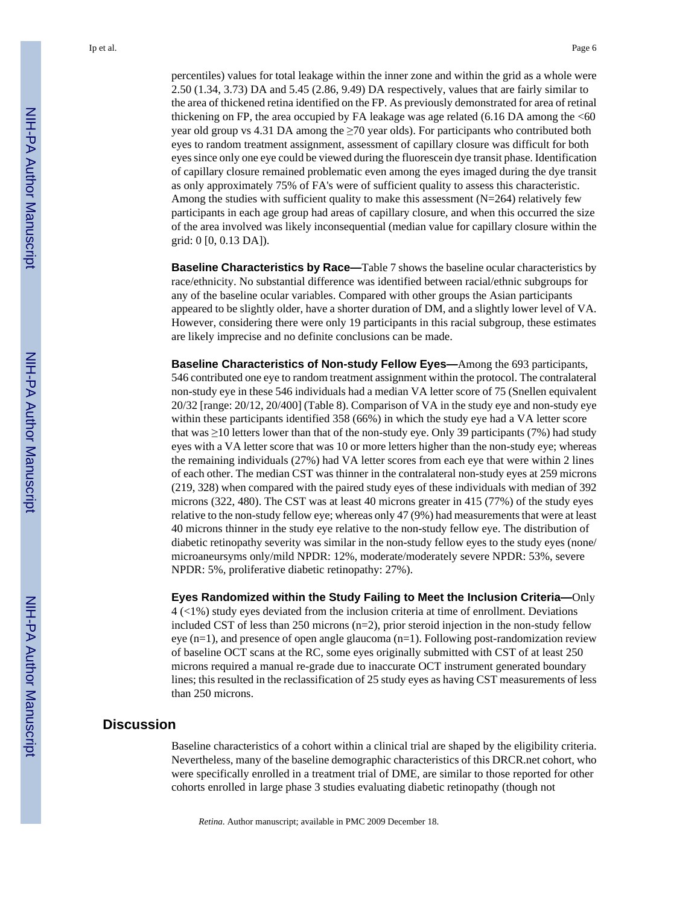percentiles) values for total leakage within the inner zone and within the grid as a whole were 2.50 (1.34, 3.73) DA and 5.45 (2.86, 9.49) DA respectively, values that are fairly similar to the area of thickened retina identified on the FP. As previously demonstrated for area of retinal thickening on FP, the area occupied by FA leakage was age related  $(6.16 \text{ DA}$  among the  $<60$ year old group vs 4.31 DA among the  $\geq$ 70 year olds). For participants who contributed both eyes to random treatment assignment, assessment of capillary closure was difficult for both eyes since only one eye could be viewed during the fluorescein dye transit phase. Identification of capillary closure remained problematic even among the eyes imaged during the dye transit as only approximately 75% of FA's were of sufficient quality to assess this characteristic. Among the studies with sufficient quality to make this assessment  $(N=264)$  relatively few participants in each age group had areas of capillary closure, and when this occurred the size of the area involved was likely inconsequential (median value for capillary closure within the grid: 0 [0, 0.13 DA]).

**Baseline Characteristics by Race—**Table 7 shows the baseline ocular characteristics by race/ethnicity. No substantial difference was identified between racial/ethnic subgroups for any of the baseline ocular variables. Compared with other groups the Asian participants appeared to be slightly older, have a shorter duration of DM, and a slightly lower level of VA. However, considering there were only 19 participants in this racial subgroup, these estimates are likely imprecise and no definite conclusions can be made.

**Baseline Characteristics of Non-study Fellow Eyes—**Among the 693 participants, 546 contributed one eye to random treatment assignment within the protocol. The contralateral non-study eye in these 546 individuals had a median VA letter score of 75 (Snellen equivalent 20/32 [range: 20/12, 20/400] (Table 8). Comparison of VA in the study eye and non-study eye within these participants identified 358 (66%) in which the study eye had a VA letter score that was ≥10 letters lower than that of the non-study eye. Only 39 participants (7%) had study eyes with a VA letter score that was 10 or more letters higher than the non-study eye; whereas the remaining individuals (27%) had VA letter scores from each eye that were within 2 lines of each other. The median CST was thinner in the contralateral non-study eyes at 259 microns (219, 328) when compared with the paired study eyes of these individuals with median of 392 microns (322, 480). The CST was at least 40 microns greater in 415 (77%) of the study eyes relative to the non-study fellow eye; whereas only 47 (9%) had measurements that were at least 40 microns thinner in the study eye relative to the non-study fellow eye. The distribution of diabetic retinopathy severity was similar in the non-study fellow eyes to the study eyes (none/ microaneursyms only/mild NPDR: 12%, moderate/moderately severe NPDR: 53%, severe NPDR: 5%, proliferative diabetic retinopathy: 27%).

**Eyes Randomized within the Study Failing to Meet the Inclusion Criteria—**Only 4 (<1%) study eyes deviated from the inclusion criteria at time of enrollment. Deviations included CST of less than 250 microns  $(n=2)$ , prior steroid injection in the non-study fellow eye (n=1), and presence of open angle glaucoma (n=1). Following post-randomization review of baseline OCT scans at the RC, some eyes originally submitted with CST of at least 250 microns required a manual re-grade due to inaccurate OCT instrument generated boundary lines; this resulted in the reclassification of 25 study eyes as having CST measurements of less than 250 microns.

#### **Discussion**

Baseline characteristics of a cohort within a clinical trial are shaped by the eligibility criteria. Nevertheless, many of the baseline demographic characteristics of this DRCR.net cohort, who were specifically enrolled in a treatment trial of DME, are similar to those reported for other cohorts enrolled in large phase 3 studies evaluating diabetic retinopathy (though not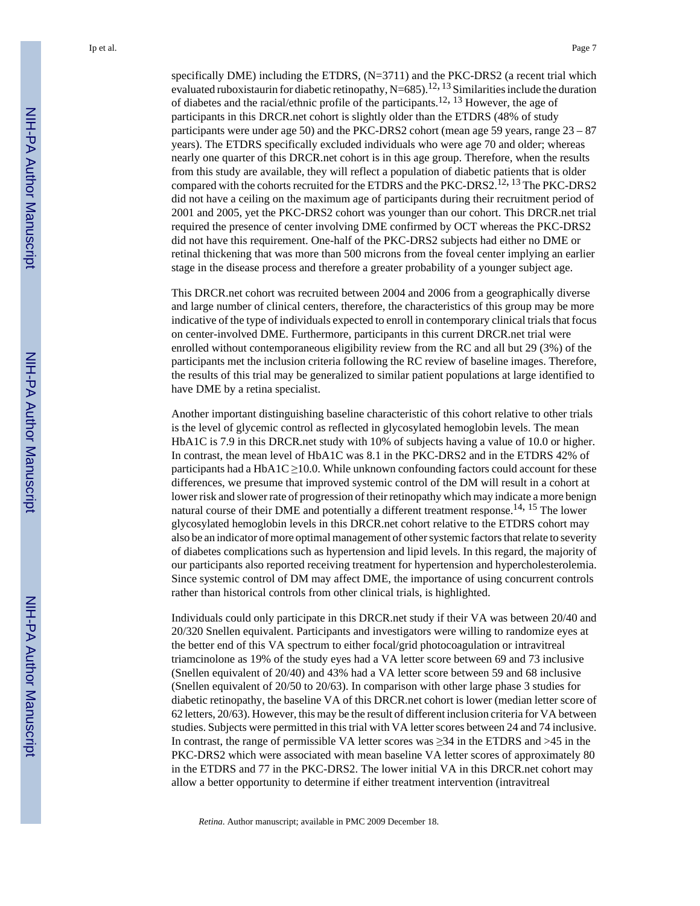specifically DME) including the ETDRS, (N=3711) and the PKC-DRS2 (a recent trial which evaluated ruboxistaurin for diabetic retinopathy, N=685).<sup>12, 13</sup> Similarities include the duration of diabetes and the racial/ethnic profile of the participants.12, 13 However, the age of participants in this DRCR.net cohort is slightly older than the ETDRS (48% of study participants were under age 50) and the PKC-DRS2 cohort (mean age 59 years, range 23 – 87 years). The ETDRS specifically excluded individuals who were age 70 and older; whereas nearly one quarter of this DRCR.net cohort is in this age group. Therefore, when the results from this study are available, they will reflect a population of diabetic patients that is older compared with the cohorts recruited for the ETDRS and the PKC-DRS2.<sup>12, 13</sup> The PKC-DRS2 did not have a ceiling on the maximum age of participants during their recruitment period of 2001 and 2005, yet the PKC-DRS2 cohort was younger than our cohort. This DRCR.net trial required the presence of center involving DME confirmed by OCT whereas the PKC-DRS2 did not have this requirement. One-half of the PKC-DRS2 subjects had either no DME or retinal thickening that was more than 500 microns from the foveal center implying an earlier stage in the disease process and therefore a greater probability of a younger subject age.

This DRCR.net cohort was recruited between 2004 and 2006 from a geographically diverse and large number of clinical centers, therefore, the characteristics of this group may be more indicative of the type of individuals expected to enroll in contemporary clinical trials that focus on center-involved DME. Furthermore, participants in this current DRCR.net trial were enrolled without contemporaneous eligibility review from the RC and all but 29 (3%) of the participants met the inclusion criteria following the RC review of baseline images. Therefore, the results of this trial may be generalized to similar patient populations at large identified to have DME by a retina specialist.

Another important distinguishing baseline characteristic of this cohort relative to other trials is the level of glycemic control as reflected in glycosylated hemoglobin levels. The mean HbA1C is 7.9 in this DRCR.net study with 10% of subjects having a value of 10.0 or higher. In contrast, the mean level of HbA1C was 8.1 in the PKC-DRS2 and in the ETDRS 42% of participants had a HbA1C  $\geq$ 10.0. While unknown confounding factors could account for these differences, we presume that improved systemic control of the DM will result in a cohort at lower risk and slower rate of progression of their retinopathy which may indicate a more benign natural course of their DME and potentially a different treatment response.<sup>14, 15</sup> The lower glycosylated hemoglobin levels in this DRCR.net cohort relative to the ETDRS cohort may also be an indicator of more optimal management of other systemic factors that relate to severity of diabetes complications such as hypertension and lipid levels. In this regard, the majority of our participants also reported receiving treatment for hypertension and hypercholesterolemia. Since systemic control of DM may affect DME, the importance of using concurrent controls rather than historical controls from other clinical trials, is highlighted.

Individuals could only participate in this DRCR.net study if their VA was between 20/40 and 20/320 Snellen equivalent. Participants and investigators were willing to randomize eyes at the better end of this VA spectrum to either focal/grid photocoagulation or intravitreal triamcinolone as 19% of the study eyes had a VA letter score between 69 and 73 inclusive (Snellen equivalent of 20/40) and 43% had a VA letter score between 59 and 68 inclusive (Snellen equivalent of 20/50 to 20/63). In comparison with other large phase 3 studies for diabetic retinopathy, the baseline VA of this DRCR.net cohort is lower (median letter score of 62 letters, 20/63). However, this may be the result of different inclusion criteria for VA between studies. Subjects were permitted in this trial with VA letter scores between 24 and 74 inclusive. In contrast, the range of permissible VA letter scores was  $\geq 34$  in the ETDRS and  $>45$  in the PKC-DRS2 which were associated with mean baseline VA letter scores of approximately 80 in the ETDRS and 77 in the PKC-DRS2. The lower initial VA in this DRCR.net cohort may allow a better opportunity to determine if either treatment intervention (intravitreal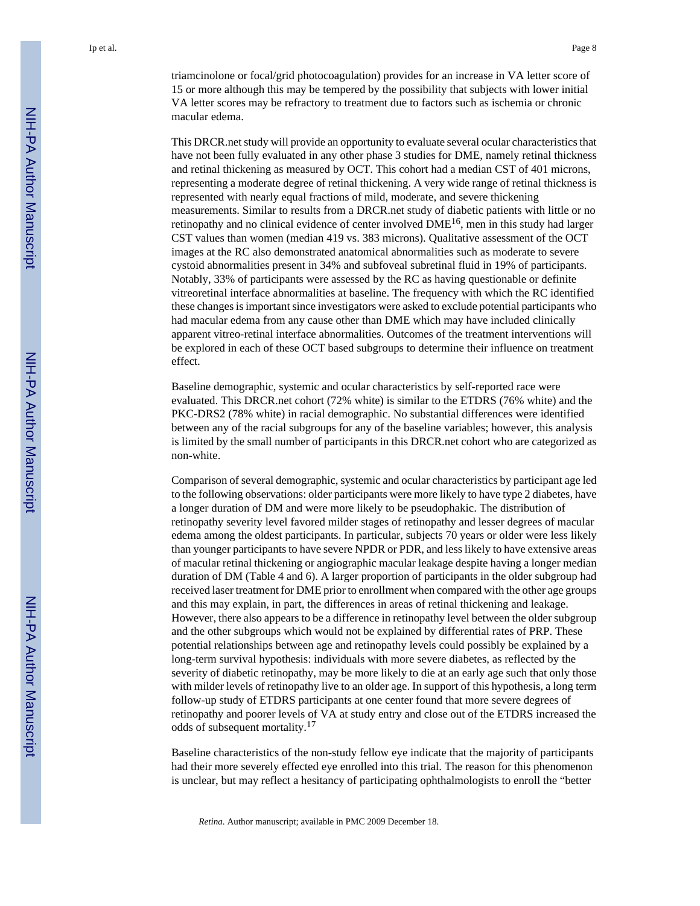This DRCR.net study will provide an opportunity to evaluate several ocular characteristics that have not been fully evaluated in any other phase 3 studies for DME, namely retinal thickness and retinal thickening as measured by OCT. This cohort had a median CST of 401 microns, representing a moderate degree of retinal thickening. A very wide range of retinal thickness is represented with nearly equal fractions of mild, moderate, and severe thickening measurements. Similar to results from a DRCR.net study of diabetic patients with little or no retinopathy and no clinical evidence of center involved  $DME^{16}$ , men in this study had larger CST values than women (median 419 vs. 383 microns). Qualitative assessment of the OCT images at the RC also demonstrated anatomical abnormalities such as moderate to severe cystoid abnormalities present in 34% and subfoveal subretinal fluid in 19% of participants. Notably, 33% of participants were assessed by the RC as having questionable or definite vitreoretinal interface abnormalities at baseline. The frequency with which the RC identified these changes is important since investigators were asked to exclude potential participants who had macular edema from any cause other than DME which may have included clinically apparent vitreo-retinal interface abnormalities. Outcomes of the treatment interventions will be explored in each of these OCT based subgroups to determine their influence on treatment effect.

Baseline demographic, systemic and ocular characteristics by self-reported race were evaluated. This DRCR.net cohort (72% white) is similar to the ETDRS (76% white) and the PKC-DRS2 (78% white) in racial demographic. No substantial differences were identified between any of the racial subgroups for any of the baseline variables; however, this analysis is limited by the small number of participants in this DRCR.net cohort who are categorized as non-white.

Comparison of several demographic, systemic and ocular characteristics by participant age led to the following observations: older participants were more likely to have type 2 diabetes, have a longer duration of DM and were more likely to be pseudophakic. The distribution of retinopathy severity level favored milder stages of retinopathy and lesser degrees of macular edema among the oldest participants. In particular, subjects 70 years or older were less likely than younger participants to have severe NPDR or PDR, and less likely to have extensive areas of macular retinal thickening or angiographic macular leakage despite having a longer median duration of DM (Table 4 and 6). A larger proportion of participants in the older subgroup had received laser treatment for DME prior to enrollment when compared with the other age groups and this may explain, in part, the differences in areas of retinal thickening and leakage. However, there also appears to be a difference in retinopathy level between the older subgroup and the other subgroups which would not be explained by differential rates of PRP. These potential relationships between age and retinopathy levels could possibly be explained by a long-term survival hypothesis: individuals with more severe diabetes, as reflected by the severity of diabetic retinopathy, may be more likely to die at an early age such that only those with milder levels of retinopathy live to an older age. In support of this hypothesis, a long term follow-up study of ETDRS participants at one center found that more severe degrees of retinopathy and poorer levels of VA at study entry and close out of the ETDRS increased the odds of subsequent mortality.<sup>17</sup>

Baseline characteristics of the non-study fellow eye indicate that the majority of participants had their more severely effected eye enrolled into this trial. The reason for this phenomenon is unclear, but may reflect a hesitancy of participating ophthalmologists to enroll the "better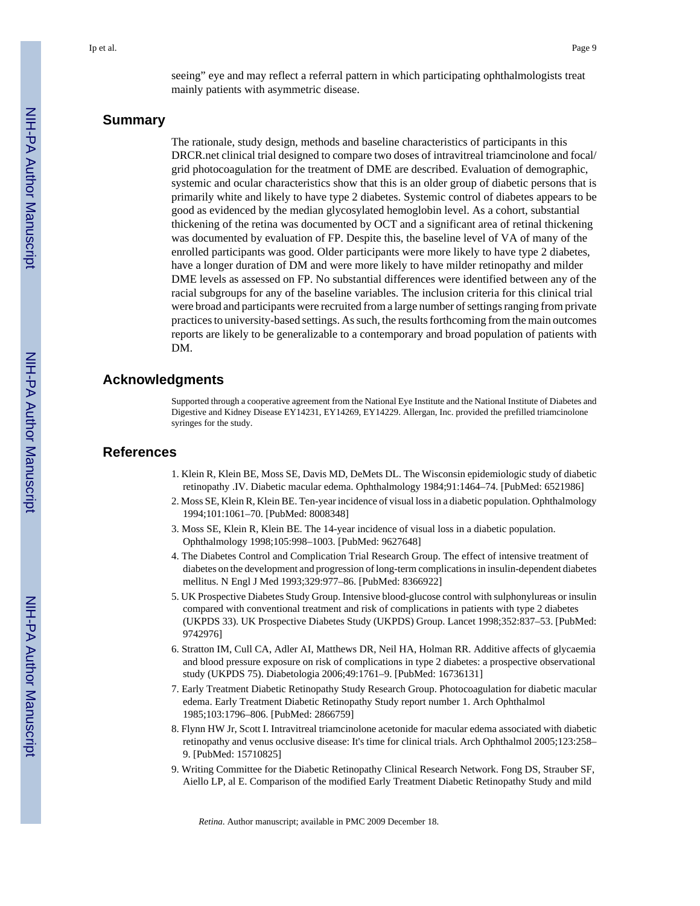seeing" eye and may reflect a referral pattern in which participating ophthalmologists treat mainly patients with asymmetric disease.

#### **Summary**

The rationale, study design, methods and baseline characteristics of participants in this DRCR.net clinical trial designed to compare two doses of intravitreal triamcinolone and focal/ grid photocoagulation for the treatment of DME are described. Evaluation of demographic, systemic and ocular characteristics show that this is an older group of diabetic persons that is primarily white and likely to have type 2 diabetes. Systemic control of diabetes appears to be good as evidenced by the median glycosylated hemoglobin level. As a cohort, substantial thickening of the retina was documented by OCT and a significant area of retinal thickening was documented by evaluation of FP. Despite this, the baseline level of VA of many of the enrolled participants was good. Older participants were more likely to have type 2 diabetes, have a longer duration of DM and were more likely to have milder retinopathy and milder DME levels as assessed on FP. No substantial differences were identified between any of the racial subgroups for any of the baseline variables. The inclusion criteria for this clinical trial were broad and participants were recruited from a large number of settings ranging from private practices to university-based settings. As such, the results forthcoming from the main outcomes reports are likely to be generalizable to a contemporary and broad population of patients with DM.

#### **Acknowledgments**

Supported through a cooperative agreement from the National Eye Institute and the National Institute of Diabetes and Digestive and Kidney Disease EY14231, EY14269, EY14229. Allergan, Inc. provided the prefilled triamcinolone syringes for the study.

#### **References**

- 1. Klein R, Klein BE, Moss SE, Davis MD, DeMets DL. The Wisconsin epidemiologic study of diabetic retinopathy .IV. Diabetic macular edema. Ophthalmology 1984;91:1464–74. [PubMed: 6521986]
- 2. Moss SE, Klein R, Klein BE. Ten-year incidence of visual loss in a diabetic population. Ophthalmology 1994;101:1061–70. [PubMed: 8008348]
- 3. Moss SE, Klein R, Klein BE. The 14-year incidence of visual loss in a diabetic population. Ophthalmology 1998;105:998–1003. [PubMed: 9627648]
- 4. The Diabetes Control and Complication Trial Research Group. The effect of intensive treatment of diabetes on the development and progression of long-term complications in insulin-dependent diabetes mellitus. N Engl J Med 1993;329:977–86. [PubMed: 8366922]
- 5. UK Prospective Diabetes Study Group. Intensive blood-glucose control with sulphonylureas or insulin compared with conventional treatment and risk of complications in patients with type 2 diabetes (UKPDS 33). UK Prospective Diabetes Study (UKPDS) Group. Lancet 1998;352:837–53. [PubMed: 9742976]
- 6. Stratton IM, Cull CA, Adler AI, Matthews DR, Neil HA, Holman RR. Additive affects of glycaemia and blood pressure exposure on risk of complications in type 2 diabetes: a prospective observational study (UKPDS 75). Diabetologia 2006;49:1761–9. [PubMed: 16736131]
- 7. Early Treatment Diabetic Retinopathy Study Research Group. Photocoagulation for diabetic macular edema. Early Treatment Diabetic Retinopathy Study report number 1. Arch Ophthalmol 1985;103:1796–806. [PubMed: 2866759]
- 8. Flynn HW Jr, Scott I. Intravitreal triamcinolone acetonide for macular edema associated with diabetic retinopathy and venus occlusive disease: It's time for clinical trials. Arch Ophthalmol 2005;123:258– 9. [PubMed: 15710825]
- 9. Writing Committee for the Diabetic Retinopathy Clinical Research Network. Fong DS, Strauber SF, Aiello LP, al E. Comparison of the modified Early Treatment Diabetic Retinopathy Study and mild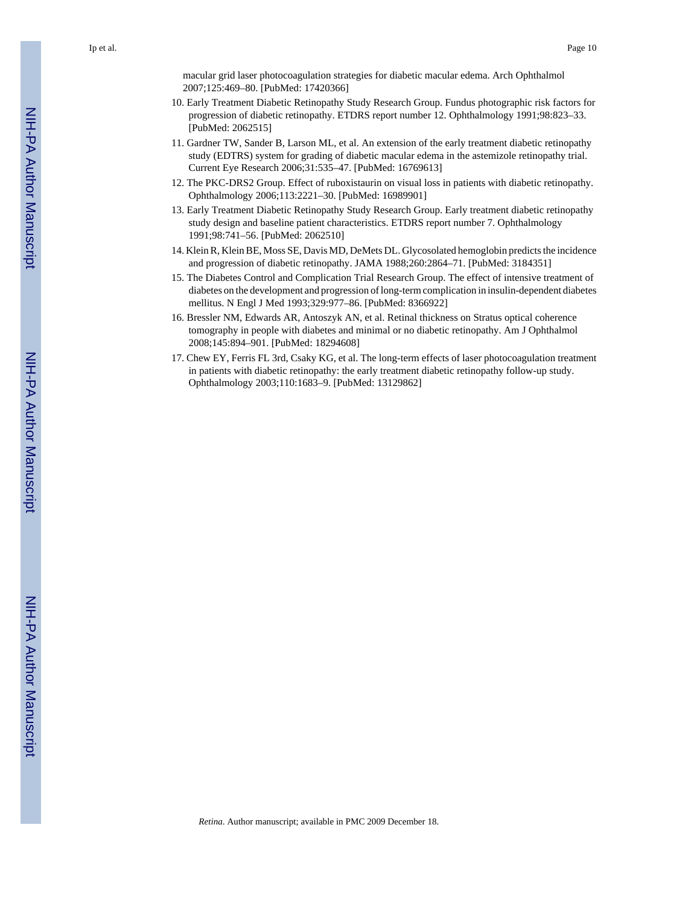macular grid laser photocoagulation strategies for diabetic macular edema. Arch Ophthalmol 2007;125:469–80. [PubMed: 17420366]

- 10. Early Treatment Diabetic Retinopathy Study Research Group. Fundus photographic risk factors for progression of diabetic retinopathy. ETDRS report number 12. Ophthalmology 1991;98:823–33. [PubMed: 2062515]
- 11. Gardner TW, Sander B, Larson ML, et al. An extension of the early treatment diabetic retinopathy study (EDTRS) system for grading of diabetic macular edema in the astemizole retinopathy trial. Current Eye Research 2006;31:535–47. [PubMed: 16769613]
- 12. The PKC-DRS2 Group. Effect of ruboxistaurin on visual loss in patients with diabetic retinopathy. Ophthalmology 2006;113:2221–30. [PubMed: 16989901]
- 13. Early Treatment Diabetic Retinopathy Study Research Group. Early treatment diabetic retinopathy study design and baseline patient characteristics. ETDRS report number 7. Ophthalmology 1991;98:741–56. [PubMed: 2062510]
- 14. Klein R, Klein BE, Moss SE, Davis MD, DeMets DL. Glycosolated hemoglobin predicts the incidence and progression of diabetic retinopathy. JAMA 1988;260:2864–71. [PubMed: 3184351]
- 15. The Diabetes Control and Complication Trial Research Group. The effect of intensive treatment of diabetes on the development and progression of long-term complication in insulin-dependent diabetes mellitus. N Engl J Med 1993;329:977–86. [PubMed: 8366922]
- 16. Bressler NM, Edwards AR, Antoszyk AN, et al. Retinal thickness on Stratus optical coherence tomography in people with diabetes and minimal or no diabetic retinopathy. Am J Ophthalmol 2008;145:894–901. [PubMed: 18294608]
- 17. Chew EY, Ferris FL 3rd, Csaky KG, et al. The long-term effects of laser photocoagulation treatment in patients with diabetic retinopathy: the early treatment diabetic retinopathy follow-up study. Ophthalmology 2003;110:1683–9. [PubMed: 13129862]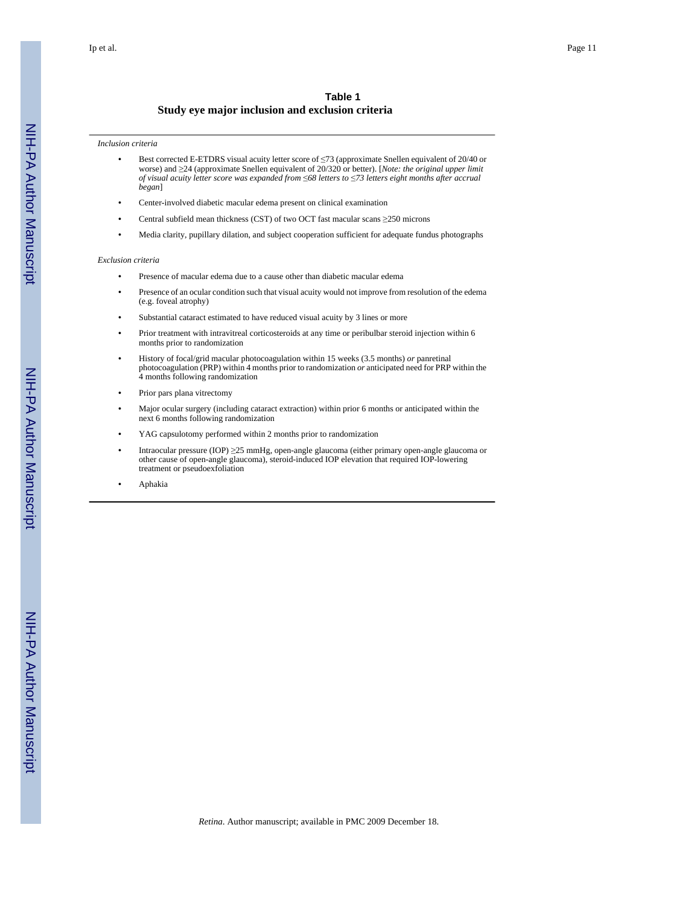#### **Table 1 Study eye major inclusion and exclusion criteria**

#### *Inclusion criteria*

- **•** Best corrected E-ETDRS visual acuity letter score of ≤73 (approximate Snellen equivalent of 20/40 or worse) and ≥24 (approximate Snellen equivalent of 20/320 or better). [*Note: the original upper limit of visual acuity letter score was expanded from* ≤*68 letters to* ≤*73 letters eight months after accrual began*]
- **•** Center-involved diabetic macular edema present on clinical examination
- **•** Central subfield mean thickness (CST) of two OCT fast macular scans ≥250 microns
- **•** Media clarity, pupillary dilation, and subject cooperation sufficient for adequate fundus photographs

#### *Exclusion criteria*

- **•** Presence of macular edema due to a cause other than diabetic macular edema
- **•** Presence of an ocular condition such that visual acuity would not improve from resolution of the edema (e.g. foveal atrophy)
- Substantial cataract estimated to have reduced visual acuity by 3 lines or more
- **•** Prior treatment with intravitreal corticosteroids at any time or peribulbar steroid injection within 6 months prior to randomization
- **•** History of focal/grid macular photocoagulation within 15 weeks (3.5 months) *or* panretinal photocoagulation (PRP) within 4 months prior to randomization *or* anticipated need for PRP within the 4 months following randomization
- **•** Prior pars plana vitrectomy
- **•** Major ocular surgery (including cataract extraction) within prior 6 months or anticipated within the next 6 months following randomization
- **•** YAG capsulotomy performed within 2 months prior to randomization
- **•** Intraocular pressure (IOP) ≥25 mmHg, open-angle glaucoma (either primary open-angle glaucoma or other cause of open-angle glaucoma), steroid-induced IOP elevation that required IOP-lowering treatment or pseudoexfoliation
- **•** Aphakia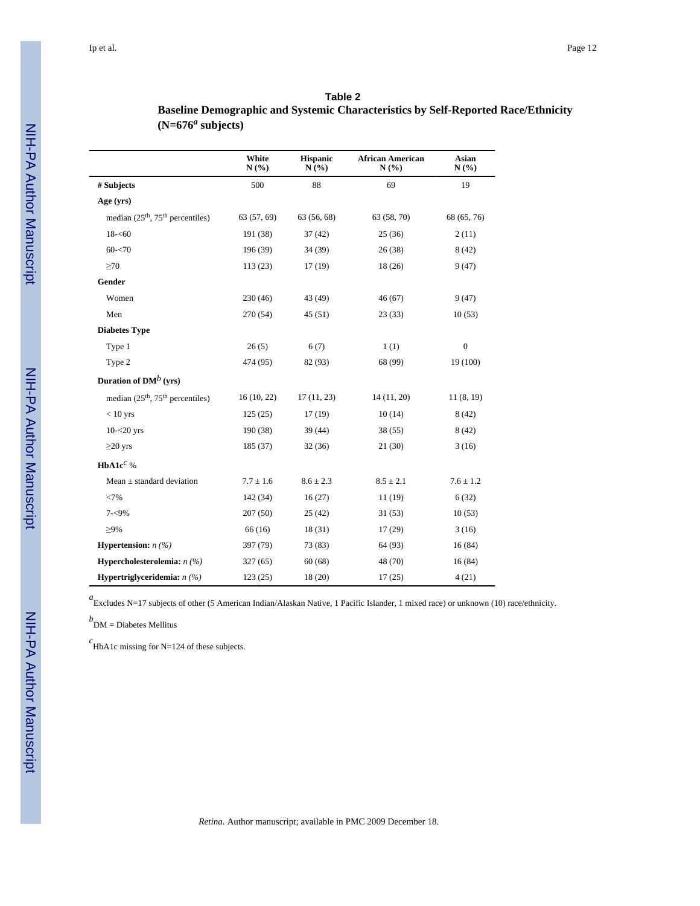#### **Table 2**

## **Baseline Demographic and Systemic Characteristics by Self-Reported Race/Ethnicity (N=676***<sup>a</sup>*  **subjects)**

|                                   | White<br>N(%) | <b>Hispanic</b><br>N(%) | <b>African American</b><br>N(%) | Asian<br>N(%)    |
|-----------------------------------|---------------|-------------------------|---------------------------------|------------------|
| # Subjects                        | 500           | 88                      | 69                              | 19               |
| Age (yrs)                         |               |                         |                                 |                  |
| median $(25th, 75th$ percentiles) | 63 (57, 69)   | 63 (56, 68)             | 63 (58, 70)                     | 68 (65, 76)      |
| $18 - 60$                         | 191 (38)      | 37(42)                  | 25(36)                          | 2(11)            |
| $60 - 70$                         | 196 (39)      | 34 (39)                 | 26(38)                          | 8(42)            |
| $\geq 70$                         | 113(23)       | 17(19)                  | 18(26)                          | 9(47)            |
| Gender                            |               |                         |                                 |                  |
| Women                             | 230(46)       | 43 (49)                 | 46(67)                          | 9(47)            |
| Men                               | 270 (54)      | 45(51)                  | 23(33)                          | 10(53)           |
| <b>Diabetes Type</b>              |               |                         |                                 |                  |
| Type 1                            | 26(5)         | 6(7)                    | 1(1)                            | $\boldsymbol{0}$ |
| Type 2                            | 474 (95)      | 82 (93)                 | 68 (99)                         | 19 (100)         |
| Duration of $DM^b$ (yrs)          |               |                         |                                 |                  |
| median $(25th, 75th$ percentiles) | 16(10, 22)    | 17(11, 23)              | 14 (11, 20)                     | 11(8, 19)        |
| $< 10$ yrs                        | 125(25)       | 17(19)                  | 10(14)                          | 8(42)            |
| $10 - 20$ yrs                     | 190 (38)      | 39 (44)                 | 38(55)                          | 8(42)            |
| $\geq$ 20 yrs                     | 185 (37)      | 32(36)                  | 21(30)                          | 3(16)            |
| HbA1 $c^c$ %                      |               |                         |                                 |                  |
| Mean $\pm$ standard deviation     | $7.7 \pm 1.6$ | $8.6 \pm 2.3$           | $8.5 \pm 2.1$                   | $7.6 \pm 1.2$    |
| <7%                               | 142 (34)      | 16(27)                  | 11(19)                          | 6(32)            |
| $7 - 9\%$                         | 207 (50)      | 25(42)                  | 31(53)                          | 10(53)           |
| $>9\%$                            | 66 (16)       | 18(31)                  | 17(29)                          | 3(16)            |
| <b>Hypertension:</b> $n$ (%)      | 397 (79)      | 73 (83)                 | 64 (93)                         | 16(84)           |
| Hypercholesterolemia: $n$ (%)     | 327(65)       | 60(68)                  | 48 (70)                         | 16(84)           |
| Hypertriglyceridemia: $n$ (%)     | 123(25)       | 18 (20)                 | 17(25)                          | 4(21)            |

*a*<br>Excludes N=17 subjects of other (5 American Indian/Alaskan Native, 1 Pacific Islander, 1 mixed race) or unknown (10) race/ethnicity.

*b* DM = Diabetes Mellitus

*c* HbA1c missing for N=124 of these subjects.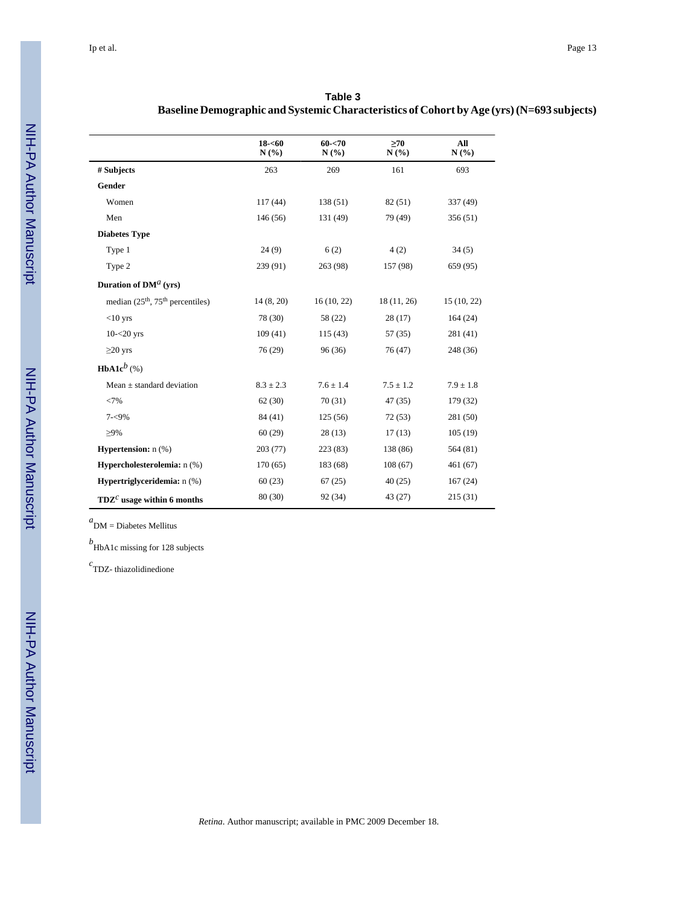|                                                          | $18 - 60$<br>N(%) | $60 - 70$<br>N(%) | $\geq 70$<br>N(%) | All<br>N(%)   |
|----------------------------------------------------------|-------------------|-------------------|-------------------|---------------|
| # Subjects                                               | 263               | 269               | 161               | 693           |
| Gender                                                   |                   |                   |                   |               |
| Women                                                    | 117(44)           | 138 (51)          | 82 (51)           | 337 (49)      |
| Men                                                      | 146(56)           | 131 (49)          | 79 (49)           | 356(51)       |
| <b>Diabetes Type</b>                                     |                   |                   |                   |               |
| Type 1                                                   | 24(9)             | 6(2)              | 4(2)              | 34(5)         |
| Type 2                                                   | 239 (91)          | 263 (98)          | 157 (98)          | 659 (95)      |
| Duration of $DMa$ (vrs)                                  |                   |                   |                   |               |
| median (25 <sup>th</sup> , 75 <sup>th</sup> percentiles) | 14(8, 20)         | 16(10, 22)        | 18(11, 26)        | 15(10, 22)    |
| $<$ 10 yrs                                               | 78 (30)           | 58 (22)           | 28(17)            | 164(24)       |
| $10 - 20$ yrs                                            | 109(41)           | 115(43)           | 57(35)            | 281(41)       |
| $\geq$ 20 yrs                                            | 76(29)            | 96(36)            | 76(47)            | 248 (36)      |
| <b>HbA1c</b> <sup>b</sup> (%)                            |                   |                   |                   |               |
| Mean $\pm$ standard deviation                            | $8.3 \pm 2.3$     | $7.6 \pm 1.4$     | $7.5 \pm 1.2$     | $7.9 \pm 1.8$ |
| <7%                                                      | 62(30)            | 70(31)            | 47(35)            | 179 (32)      |
| $7 - 9\%$                                                | 84 (41)           | 125(56)           | 72(53)            | 281(50)       |
| $\geq$ 9%                                                | 60(29)            | 28(13)            | 17(13)            | 105(19)       |
| <b>Hypertension:</b> $n$ (%)                             | 203(77)           | 223(83)           | 138 (86)          | 564 (81)      |
| Hypercholesterolemia: n (%)                              | 170(65)           | 183 (68)          | 108(67)           | 461(67)       |
| Hypertriglyceridemia: n (%)                              | 60(23)            | 67(25)            | 40(25)            | 167(24)       |
| $TDZc$ usage within 6 months                             | 80(30)            | 92 (34)           | 43(27)            | 215 (31)      |

| Table 3                                                                                   |
|-------------------------------------------------------------------------------------------|
| Baseline Demographic and Systemic Characteristics of Cohort by Age (yrs) (N=693 subjects) |

*a* DM = Diabetes Mellitus

*b* HbA1c missing for 128 subjects

*c* TDZ- thiazolidinedione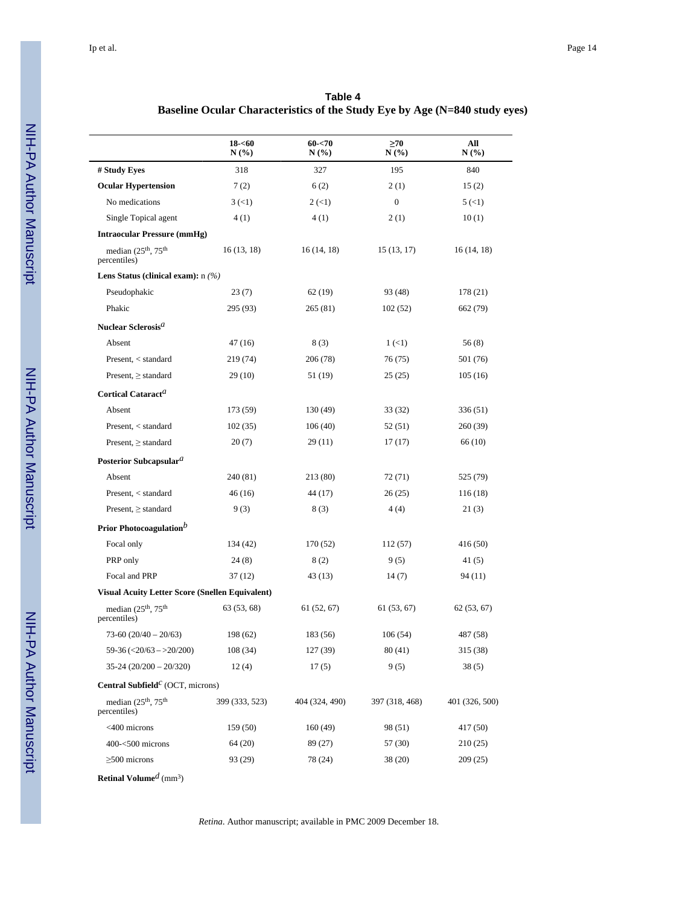| Table 4                                                                    |
|----------------------------------------------------------------------------|
| Baseline Ocular Characteristics of the Study Eye by Age (N=840 study eyes) |

|                                                                  | $18 - 60$<br>$N(\%)$ | $60 - 70$<br>$N(\%)$      | $\geq 70$<br>N(%)    | All<br>N(%     |
|------------------------------------------------------------------|----------------------|---------------------------|----------------------|----------------|
| # Study Eyes                                                     | 318                  | 327                       | 195                  | 840            |
| <b>Ocular Hypertension</b>                                       | 7(2)                 | 6(2)                      | 2(1)                 | 15(2)          |
| No medications                                                   | $3 \left( 1 \right)$ | $2 \left( \leq 1 \right)$ | $\boldsymbol{0}$     | 5(1)           |
| Single Topical agent                                             | 4(1)                 | 4(1)                      | 2(1)                 | 10(1)          |
| <b>Intraocular Pressure (mmHg)</b>                               |                      |                           |                      |                |
| median (25 <sup>th</sup> , 75 <sup>th</sup><br>percentiles)      | 16(13, 18)           | 16 (14, 18)               | 15(13, 17)           | 16 (14, 18)    |
| Lens Status (clinical exam): $n$ (%)                             |                      |                           |                      |                |
| Pseudophakic                                                     | 23(7)                | 62 (19)                   | 93 (48)              | 178 (21)       |
| Phakic                                                           | 295 (93)             | 265 (81)                  | 102(52)              | 662 (79)       |
| Nuclear Sclerosis <sup>a</sup>                                   |                      |                           |                      |                |
| Absent                                                           | 47 (16)              | 8(3)                      | $1 \left( 1 \right)$ | 56(8)          |
| Present, < standard                                              | 219 (74)             | 206 (78)                  | 76 (75)              | 501 (76)       |
| Present, $\ge$ standard                                          | 29 (10)              | 51 (19)                   | 25(25)               | 105 (16)       |
| Cortical Cataract <sup>a</sup>                                   |                      |                           |                      |                |
| Absent                                                           | 173 (59)             | 130 (49)                  | 33 (32)              | 336 (51)       |
| Present, < standard                                              | 102(35)              | 106 (40)                  | 52 (51)              | 260 (39)       |
| Present, $\ge$ standard                                          | 20(7)                | 29 (11)                   | 17(17)               | 66 (10)        |
| Posterior Subcapsular <sup>a</sup>                               |                      |                           |                      |                |
| Absent                                                           | 240 (81)             | 213 (80)                  | 72 (71)              | 525 (79)       |
| Present, < standard                                              | 46 (16)              | 44 (17)                   | 26 (25)              | 116 (18)       |
| Present, $\ge$ standard                                          | 9(3)                 | 8(3)                      | 4(4)                 | 21(3)          |
| Prior Photocoagulation <sup>b</sup>                              |                      |                           |                      |                |
| Focal only                                                       | 134 (42)             | 170 (52)                  | 112 (57)             | 416 (50)       |
| PRP only                                                         | 24 (8)               | 8(2)                      | 9(5)                 | 41 (5)         |
| Focal and PRP                                                    | 37 (12)              | 43 (13)                   | 14(7)                | 94 (11)        |
| <b>Visual Acuity Letter Score (Snellen Equivalent)</b>           |                      |                           |                      |                |
| median (25 <sup>th</sup> , 75 <sup>th</sup><br>percentiles)      | 63 (53, 68)          | 61 (52, 67)               | 61(53, 67)           | 62(53, 67)     |
| $73-60(20/40-20/63)$                                             | 198 (62)             | 183 (56)                  | 106(54)              | 487 (58)       |
| $59-36 \left( \frac{20}{63} \right)$ - > 20/200)                 | 108(34)              | 127 (39)                  | 80(41)               | 315 (38)       |
| $35-24(20/200-20/320)$                                           | 12(4)                | 17(5)                     | 9(5)                 | 38(5)          |
| <b>Central Subfield</b> <sup><math>C</math></sup> (OCT, microns) |                      |                           |                      |                |
| median $(25th, 75th)$<br>percentiles)                            | 399 (333, 523)       | 404 (324, 490)            | 397 (318, 468)       | 401 (326, 500) |
| $<$ 400 microns                                                  | 159 (50)             | 160 (49)                  | 98 (51)              | 417 (50)       |
| $400 - 500$ microns                                              | 64 (20)              | 89 (27)                   | 57 (30)              | 210 (25)       |
| $\geq$ 500 microns                                               | 93 (29)              | 78 (24)                   | 38 (20)              | 209 (25)       |

**Retinal Volume***d* (mm<sup>3</sup> )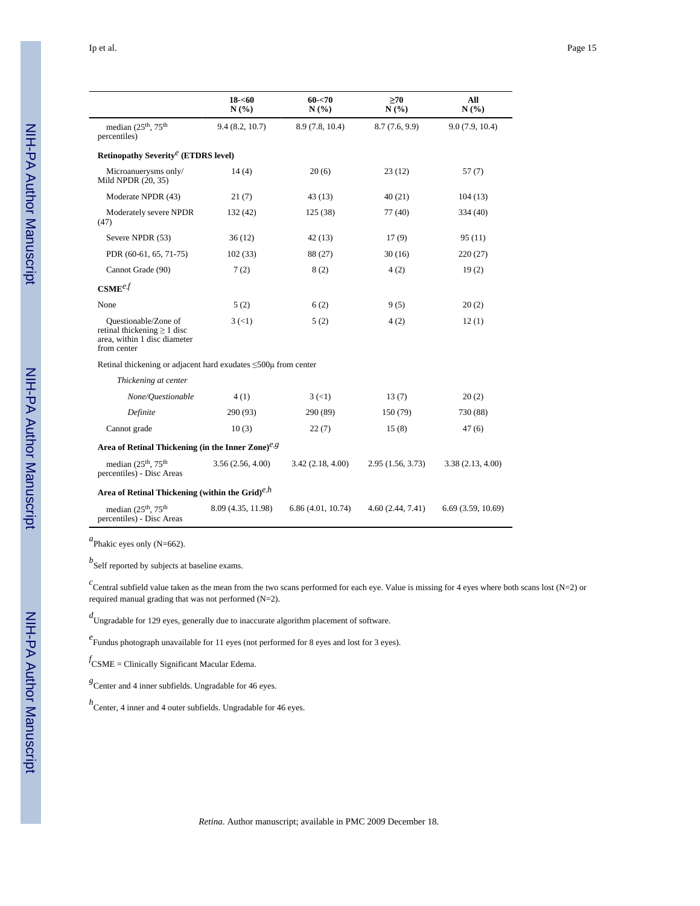|                                                                                                         | $18 - 60$<br>N(%)    | $60 - 70$<br>N(%)    | >70<br>N(%)      | All<br>N(%)       |
|---------------------------------------------------------------------------------------------------------|----------------------|----------------------|------------------|-------------------|
| median $(25th, 75th)$<br>percentiles)                                                                   | 9.4(8.2, 10.7)       | 8.9 (7.8, 10.4)      | 8.7(7.6, 9.9)    | 9.0(7.9, 10.4)    |
| Retinopathy Severity <sup><math>e</math></sup> (ETDRS level)                                            |                      |                      |                  |                   |
| Microanuerysms only/<br>Mild NPDR (20, 35)                                                              | 14(4)                | 20(6)                | 23(12)           | 57(7)             |
| Moderate NPDR (43)                                                                                      | 21(7)                | 43(13)               | 40(21)           | 104(13)           |
| Moderately severe NPDR<br>(47)                                                                          | 132 (42)             | 125(38)              | 77 (40)          | 334 (40)          |
| Severe NPDR (53)                                                                                        | 36(12)               | 42(13)               | 17(9)            | 95(11)            |
| PDR (60-61, 65, 71-75)                                                                                  | 102(33)              | 88 (27)              | 30(16)           | 220 (27)          |
| Cannot Grade (90)                                                                                       | 7(2)                 | 8(2)                 | 4(2)             | 19(2)             |
| $\mathbf{CSME}^{ef}$                                                                                    |                      |                      |                  |                   |
| None                                                                                                    | 5(2)                 | 6(2)                 | 9(5)             | 20(2)             |
| Questionable/Zone of<br>retinal thickening $\geq 1$ disc<br>area, within 1 disc diameter<br>from center | $3 \left( 1 \right)$ | 5(2)                 | 4 (2)            | 12(1)             |
| Retinal thickening or adjacent hard exudates $\leq 500\mu$ from center                                  |                      |                      |                  |                   |
| Thickening at center                                                                                    |                      |                      |                  |                   |
| None/Questionable                                                                                       | 4(1)                 | $3 \left( 1 \right)$ | 13(7)            | 20(2)             |
| Definite                                                                                                | 290 (93)             | 290 (89)             | 150 (79)         | 730 (88)          |
| Cannot grade                                                                                            | 10(3)                | 22(7)                | 15(8)            | 47(6)             |
| Area of Retinal Thickening (in the Inner Zone) $e.g$                                                    |                      |                      |                  |                   |
| median (25 <sup>th</sup> , 75 <sup>th</sup><br>percentiles) - Disc Areas                                | 3.56(2.56, 4.00)     | 3.42(2.18, 4.00)     | 2.95(1.56, 3.73) | 3.38(2.13, 4.00)  |
| Area of Retinal Thickening (within the Grid) $e^{h}$                                                    |                      |                      |                  |                   |
| median $(25th, 75th)$<br>percentiles) - Disc Areas                                                      | 8.09 (4.35, 11.98)   | 6.86(4.01, 10.74)    | 4.60(2.44, 7.41) | 6.69(3.59, 10.69) |

*a* Phakic eyes only (N=662).

*b* Self reported by subjects at baseline exams.

 $c$  Central subfield value taken as the mean from the two scans performed for each eye. Value is missing for 4 eyes where both scans lost (N=2) or required manual grading that was not performed (N=2).

*d* Ungradable for 129 eyes, generally due to inaccurate algorithm placement of software.

*e* Fundus photograph unavailable for 11 eyes (not performed for 8 eyes and lost for 3 eyes).

*f* CSME = Clinically Significant Macular Edema.

*g* Center and 4 inner subfields. Ungradable for 46 eyes.

*h* Center, 4 inner and 4 outer subfields. Ungradable for 46 eyes.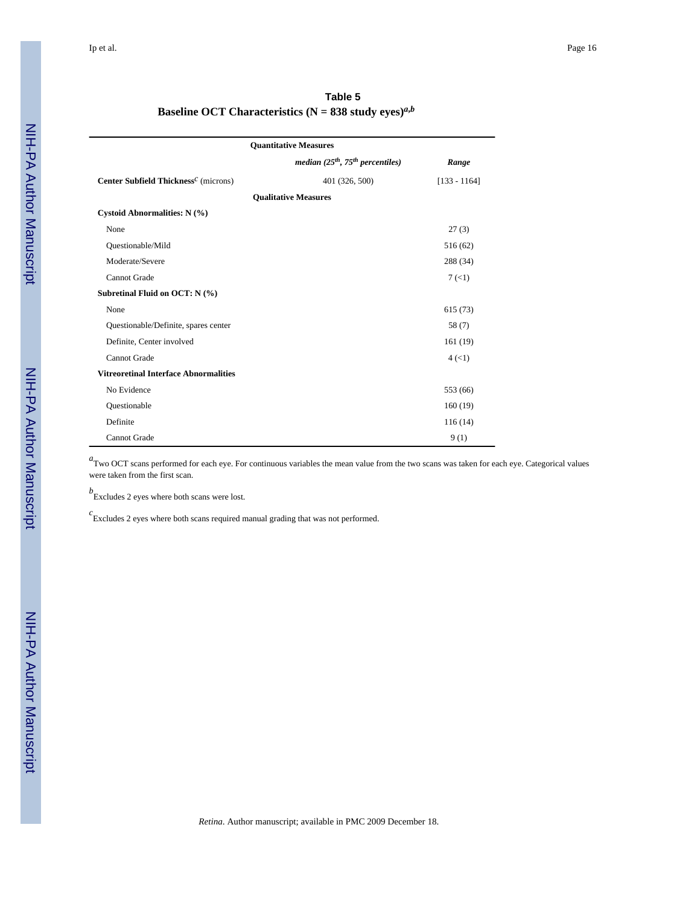| Table 5                                                 |  |
|---------------------------------------------------------|--|
| Baseline OCT Characteristics (N = 838 study eyes) $a,b$ |  |

|                                                               | <b>Ouantitative Measures</b>            |                      |
|---------------------------------------------------------------|-----------------------------------------|----------------------|
|                                                               | median $(25^{th}, 75^{th}$ percentiles) | Range                |
| Center Subfield Thickness <sup><math>C</math></sup> (microns) | 401 (326, 500)                          | $[133 - 1164]$       |
|                                                               | <b>Qualitative Measures</b>             |                      |
| Cystoid Abnormalities: N (%)                                  |                                         |                      |
| None                                                          |                                         | 27(3)                |
| Questionable/Mild                                             |                                         | 516 (62)             |
| Moderate/Severe                                               |                                         | 288 (34)             |
| Cannot Grade                                                  |                                         | 7(1)                 |
| Subretinal Fluid on OCT: N (%)                                |                                         |                      |
| None                                                          |                                         | 615(73)              |
| Questionable/Definite, spares center                          |                                         | 58 (7)               |
| Definite, Center involved                                     |                                         | 161(19)              |
| <b>Cannot Grade</b>                                           |                                         | $4 \left( 1 \right)$ |
| <b>Vitreoretinal Interface Abnormalities</b>                  |                                         |                      |
| No Evidence                                                   |                                         | 553 (66)             |
| Questionable                                                  |                                         | 160(19)              |
| Definite                                                      |                                         | 116(14)              |
| Cannot Grade                                                  |                                         | 9(1)                 |

*a*<br>Two OCT scans performed for each eye. For continuous variables the mean value from the two scans was taken for each eye. Categorical values were taken from the first scan.

*b* Excludes 2 eyes where both scans were lost.

*c* Excludes 2 eyes where both scans required manual grading that was not performed.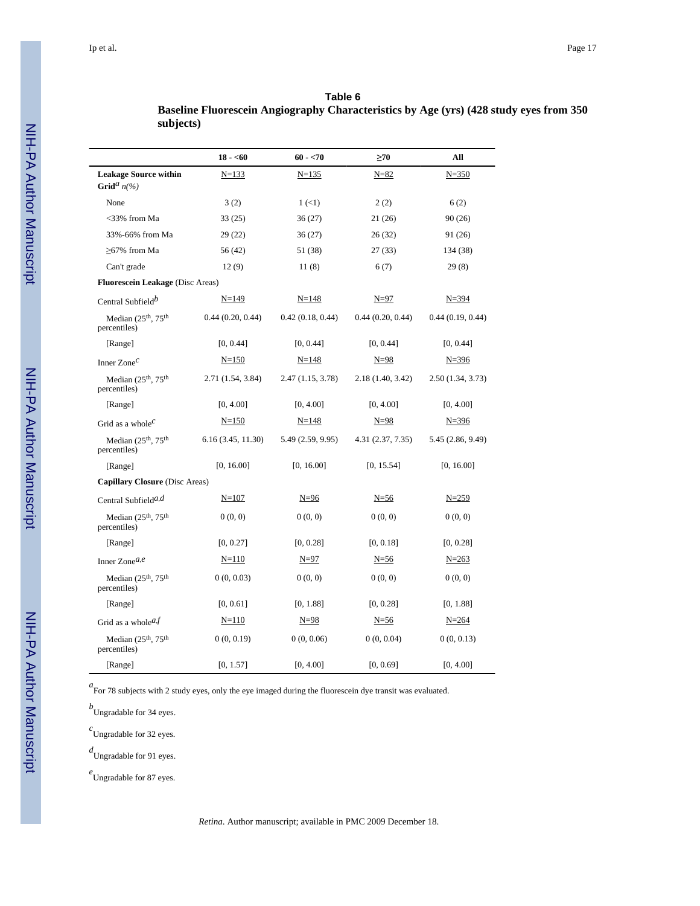**subjects)**

# **Table 6 Baseline Fluorescein Angiography Characteristics by Age (yrs) (428 study eyes from 350**

|                                                             | $18 - 60$          | $60 - 570$                | $\geq 70$         | All               |
|-------------------------------------------------------------|--------------------|---------------------------|-------------------|-------------------|
| <b>Leakage Source within</b><br>Grid <sup>a</sup> $n\llap/$ | $N = 133$          | $N = 135$                 | $N = 82$          | $N = 350$         |
| None                                                        | 3(2)               | $1 \left( \leq 1 \right)$ | 2(2)              | 6(2)              |
| <33% from Ma                                                | 33(25)             | 36 (27)                   | 21 (26)           | 90(26)            |
| 33%-66% from Ma                                             | 29(22)             | 36 (27)                   | 26(32)            | 91 (26)           |
| $\geq$ 67% from Ma                                          | 56 (42)            | 51 (38)                   | 27(33)            | 134 (38)          |
| Can't grade                                                 | 12(9)              | 11(8)                     | 6(7)              | 29(8)             |
| <b>Fluorescein Leakage</b> (Disc Areas)                     |                    |                           |                   |                   |
| Central Subfield <sup>b</sup>                               | $N=149$            | $N = 148$                 | $N = 97$          | $N = 394$         |
| Median (25th, 75th<br>percentiles)                          | 0.44(0.20, 0.44)   | 0.42(0.18, 0.44)          | 0.44(0.20, 0.44)  | 0.44(0.19, 0.44)  |
| [Range]                                                     | [0, 0.44]          | [0, 0.44]                 | [0, 0.44]         | [0, 0.44]         |
| Inner $Zone^C$                                              | $N = 150$          | $N = 148$                 | $N = 98$          | $N = 396$         |
| Median $(25th, 75th)$<br>percentiles)                       | 2.71 (1.54, 3.84)  | 2.47 (1.15, 3.78)         | 2.18 (1.40, 3.42) | 2.50 (1.34, 3.73) |
| [Range]                                                     | [0, 4.00]          | [0, 4.00]                 | [0, 4.00]         | [0, 4.00]         |
| Grid as a whole <sup><math>c</math></sup>                   | $N=150$            | $N = 148$                 | $N=98$            | $N = 396$         |
| Median $(25th, 75th)$<br>percentiles)                       | 6.16 (3.45, 11.30) | 5.49 (2.59, 9.95)         | 4.31 (2.37, 7.35) | 5.45 (2.86, 9.49) |
| [Range]                                                     | [0, 16.00]         | [0, 16.00]                | [0, 15.54]        | [0, 16.00]        |
| Capillary Closure (Disc Areas)                              |                    |                           |                   |                   |
| Central Subfield <sup><math>a,d</math></sup>                | $N = 107$          | $N=96$                    | $N = 56$          | $N = 259$         |
| Median (25 <sup>th</sup> , 75 <sup>th</sup><br>percentiles) | 0(0, 0)            | 0(0, 0)                   | 0(0, 0)           | 0(0, 0)           |
| [Range]                                                     | [0, 0.27]          | [0, 0.28]                 | [0, 0.18]         | [0, 0.28]         |
| Inner Zone $a,e$                                            | $N = 110$          | $N=97$                    | $N = 56$          | $N = 263$         |
| Median $(25th, 75th)$<br>percentiles)                       | 0(0, 0.03)         | 0(0, 0)                   | 0(0, 0)           | 0(0, 0)           |
| [Range]                                                     | [0, 0.61]          | [0, 1.88]                 | [0, 0.28]         | [0, 1.88]         |
| Grid as a whole $a, f$                                      | $N = 110$          | $N = 98$                  | $N = 56$          | $N = 264$         |
| Median $(25th, 75th)$<br>percentiles)                       | 0(0, 0.19)         | 0(0, 0.06)                | 0(0, 0.04)        | 0(0, 0.13)        |
| [Range]                                                     | [0, 1.57]          | [0, 4.00]                 | [0, 0.69]         | [0, 4.00]         |

*a*<br>For 78 subjects with 2 study eyes, only the eye imaged during the fluorescein dye transit was evaluated.

*b* Ungradable for 34 eyes.

*c* Ungradable for 32 eyes.

*d* Ungradable for 91 eyes.

*e* Ungradable for 87 eyes.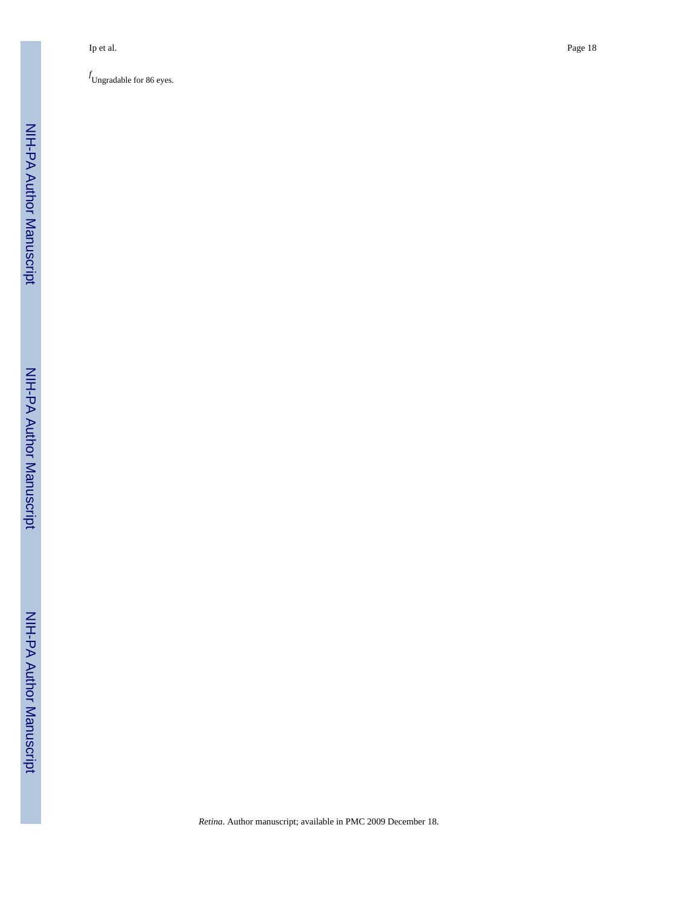*f* Ungradable for 86 eyes.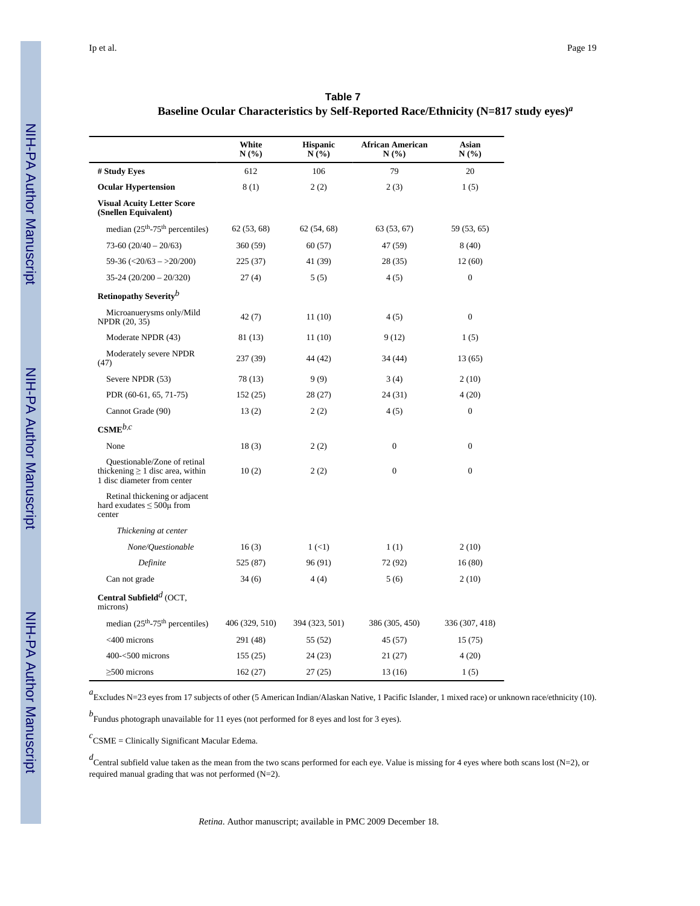| Table 7                                                                                        |  |
|------------------------------------------------------------------------------------------------|--|
| Baseline Ocular Characteristics by Self-Reported Race/Ethnicity $(N=817 \text{ study eyes})^a$ |  |

|                                                                                                      | White<br>N(%)  | <b>Hispanic</b><br>N(%)   | <b>African American</b><br>N(%) | Asian<br>N(%)    |
|------------------------------------------------------------------------------------------------------|----------------|---------------------------|---------------------------------|------------------|
| # Study Eyes                                                                                         | 612            | 106                       | 79                              | 20               |
| <b>Ocular Hypertension</b>                                                                           | 8(1)           | 2(2)                      | 2(3)                            | 1(5)             |
| <b>Visual Acuity Letter Score</b><br>(Snellen Equivalent)                                            |                |                           |                                 |                  |
| median $(25th-75th$ percentiles)                                                                     | 62(53, 68)     | 62(54, 68)                | 63(53, 67)                      | 59 (53, 65)      |
| $73-60(20/40-20/63)$                                                                                 | 360(59)        | 60(57)                    | 47 (59)                         | 8(40)            |
| $59-36 \left( \frac{20}{63} \right)$ - > 20/200)                                                     | 225 (37)       | 41 (39)                   | 28(35)                          | 12 (60)          |
| $35-24(20/200-20/320)$                                                                               | 27(4)          | 5(5)                      | 4(5)                            | $\overline{0}$   |
| Retinopathy Severity <sup>b</sup>                                                                    |                |                           |                                 |                  |
| Microanuerysms only/Mild<br>NPDR (20, 35)                                                            | 42(7)          | 11(10)                    | 4(5)                            | $\boldsymbol{0}$ |
| Moderate NPDR (43)                                                                                   | 81 (13)        | 11(10)                    | 9(12)                           | 1(5)             |
| Moderately severe NPDR<br>(47)                                                                       | 237 (39)       | 44 (42)                   | 34 (44)                         | 13(65)           |
| Severe NPDR (53)                                                                                     | 78 (13)        | 9(9)                      | 3(4)                            | 2(10)            |
| PDR (60-61, 65, 71-75)                                                                               | 152(25)        | 28(27)                    | 24(31)                          | 4(20)            |
| Cannot Grade (90)                                                                                    | 13(2)          | 2(2)                      | $\boldsymbol{0}$<br>4(5)        |                  |
| $\mathbf{CSME}^{b,c}$                                                                                |                |                           |                                 |                  |
| None                                                                                                 | 18(3)          | 2(2)                      | $\mathbf{0}$                    | $\overline{0}$   |
| Questionable/Zone of retinal<br>thickening $\geq 1$ disc area, within<br>1 disc diameter from center | 10(2)          | 2(2)                      | $\mathbf{0}$                    | $\overline{0}$   |
| Retinal thickening or adjacent<br>hard exudates $\leq 500\mu$ from<br>center                         |                |                           |                                 |                  |
| Thickening at center                                                                                 |                |                           |                                 |                  |
| None/Questionable                                                                                    | 16(3)          | $1 \left( \leq 1 \right)$ | 1(1)                            | 2(10)            |
| Definite                                                                                             | 525 (87)       | 96 (91)                   | 72 (92)                         | 16(80)           |
| Can not grade                                                                                        | 34(6)          | 4(4)                      | 5(6)                            | 2(10)            |
| Central Subfield <sup><math>d</math></sup> (OCT,<br>microns)                                         |                |                           |                                 |                  |
| median $(25th-75th$ percentiles)                                                                     | 406 (329, 510) | 394 (323, 501)            | 386 (305, 450)                  | 336 (307, 418)   |
| <400 microns                                                                                         | 291 (48)       | 55 (52)                   | 45 (57)                         | 15(75)           |
| $400 - 500$ microns                                                                                  | 155(25)        | 24 (23)                   | 21(27)                          | 4(20)            |
| $>500$ microns                                                                                       | 162(27)        | 27(25)                    | 13 (16)                         | 1(5)             |

*a* Excludes N=23 eyes from 17 subjects of other (5 American Indian/Alaskan Native, 1 Pacific Islander, 1 mixed race) or unknown race/ethnicity (10).

*b* Fundus photograph unavailable for 11 eyes (not performed for 8 eyes and lost for 3 eyes).

*c* CSME = Clinically Significant Macular Edema.

*d* Central subfield value taken as the mean from the two scans performed for each eye. Value is missing for 4 eyes where both scans lost (N=2), or required manual grading that was not performed (N=2).